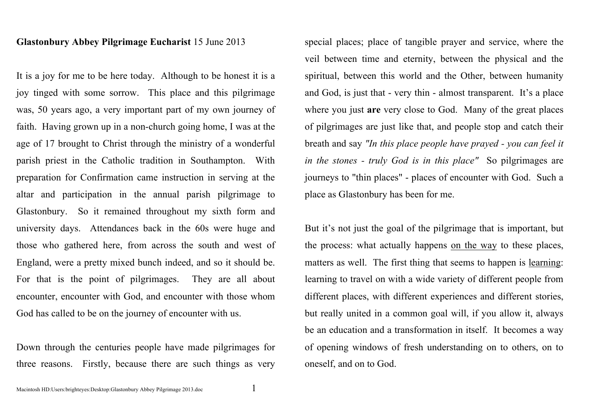## **Glastonbury Abbey Pilgrimage Eucharist** 15 June 2013

It is a joy for me to be here today. Although to be honest it is a joy tinged with some sorrow. This place and this pilgrimage was, 50 years ago, a very important part of my own journey of faith. Having grown up in a non-church going home, I was at the age of 17 brought to Christ through the ministry of a wonderful parish priest in the Catholic tradition in Southampton. With preparation for Confirmation came instruction in serving at the altar and participation in the annual parish pilgrimage to Glastonbury. So it remained throughout my sixth form and university days. Attendances back in the 60s were huge and those who gathered here, from across the south and west of England, were a pretty mixed bunch indeed, and so it should be. For that is the point of pilgrimages. They are all about encounter, encounter with God, and encounter with those whom God has called to be on the journey of encounter with us.

Down through the centuries people have made pilgrimages for three reasons. Firstly, because there are such things as very special places; place of tangible prayer and service, where the veil between time and eternity, between the physical and the spiritual, between this world and the Other, between humanity and God, is just that - very thin - almost transparent. It's a place where you just **are** very close to God. Many of the great places of pilgrimages are just like that, and people stop and catch their breath and say *"In this place people have prayed - you can feel it in the stones - truly God is in this place"* So pilgrimages are journeys to "thin places" - places of encounter with God. Such a place as Glastonbury has been for me.

But it's not just the goal of the pilgrimage that is important, but the process: what actually happens on the way to these places, matters as well. The first thing that seems to happen is learning: learning to travel on with a wide variety of different people from different places, with different experiences and different stories, but really united in a common goal will, if you allow it, always be an education and a transformation in itself. It becomes a way of opening windows of fresh understanding on to others, on to oneself, and on to God.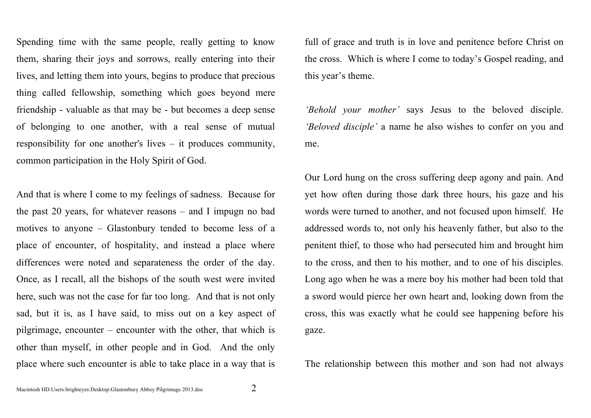Spending time with the same people, really getting to know them, sharing their joys and sorrows, really entering into their lives, and letting them into yours, begins to produce that precious thing called fellowship, something which goes beyond mere friendship - valuable as that may be - but becomes a deep sense of belonging to one another, with a real sense of mutual responsibility for one another's lives – it produces community, common participation in the Holy Spirit of God.

And that is where I come to my feelings of sadness. Because for the past 20 years, for whatever reasons – and I impugn no bad motives to anyone – Glastonbury tended to become less of a place of encounter, of hospitality, and instead a place where differences were noted and separateness the order of the day. Once, as I recall, all the bishops of the south west were invited here, such was not the case for far too long. And that is not only sad, but it is, as I have said, to miss out on a key aspect of pilgrimage, encounter – encounter with the other, that which is other than myself, in other people and in God. And the only place where such encounter is able to take place in a way that is

full of grace and truth is in love and penitence before Christ on the cross. Which is where I come to today's Gospel reading, and this year's theme.

*'Behold your mother'* says Jesus to the beloved disciple. *'Beloved disciple'* a name he also wishes to confer on you and me.

Our Lord hung on the cross suffering deep agony and pain. And yet how often during those dark three hours, his gaze and his words were turned to another, and not focused upon himself. He addressed words to, not only his heavenly father, but also to the penitent thief, to those who had persecuted him and brought him to the cross, and then to his mother, and to one of his disciples. Long ago when he was a mere boy his mother had been told that a sword would pierce her own heart and, looking down from the cross, this was exactly what he could see happening before his gaze.

The relationship between this mother and son had not always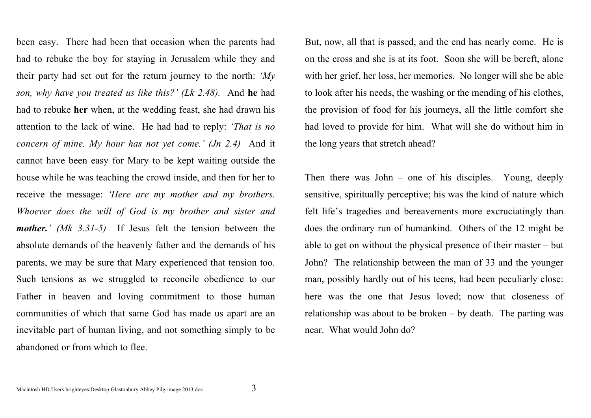been easy. There had been that occasion when the parents had had to rebuke the boy for staying in Jerusalem while they and their party had set out for the return journey to the north: *'My son, why have you treated us like this?' (Lk 2.48).* And **he** had had to rebuke **her** when, at the wedding feast, she had drawn his attention to the lack of wine. He had had to reply: *'That is no concern of mine. My hour has not yet come.' (Jn 2.4)* And it cannot have been easy for Mary to be kept waiting outside the house while he was teaching the crowd inside, and then for her to receive the message: *'Here are my mother and my brothers. Whoever does the will of God is my brother and sister and mother.' (Mk 3.31-5)* If Jesus felt the tension between the absolute demands of the heavenly father and the demands of his parents, we may be sure that Mary experienced that tension too. Such tensions as we struggled to reconcile obedience to our Father in heaven and loving commitment to those human communities of which that same God has made us apart are an inevitable part of human living, and not something simply to be abandoned or from which to flee.

But, now, all that is passed, and the end has nearly come. He is on the cross and she is at its foot. Soon she will be bereft, alone with her grief, her loss, her memories. No longer will she be able to look after his needs, the washing or the mending of his clothes, the provision of food for his journeys, all the little comfort she had loved to provide for him. What will she do without him in the long years that stretch ahead?

Then there was John – one of his disciples. Young, deeply sensitive, spiritually perceptive; his was the kind of nature which felt life's tragedies and bereavements more excruciatingly than does the ordinary run of humankind. Others of the 12 might be able to get on without the physical presence of their master – but John? The relationship between the man of 33 and the younger man, possibly hardly out of his teens, had been peculiarly close: here was the one that Jesus loved; now that closeness of relationship was about to be broken – by death. The parting was near. What would John do?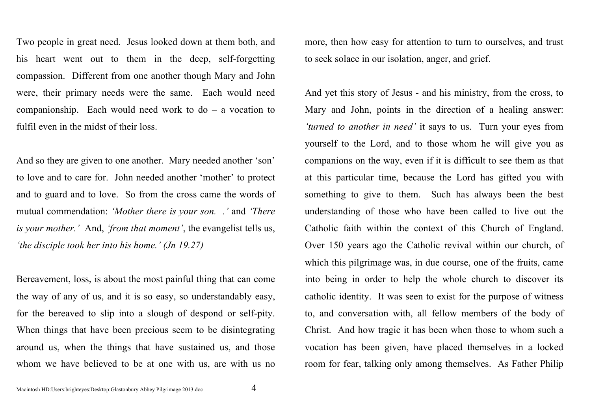Two people in great need. Jesus looked down at them both, and his heart went out to them in the deep, self-forgetting compassion. Different from one another though Mary and John were, their primary needs were the same. Each would need companionship. Each would need work to do – a vocation to fulfil even in the midst of their loss.

And so they are given to one another. Mary needed another 'son' to love and to care for. John needed another 'mother' to protect and to guard and to love. So from the cross came the words of mutual commendation: *'Mother there is your son. .'* and *'There is your mother.'* And, *'from that moment'*, the evangelist tells us, *'the disciple took her into his home.' (Jn 19.27)*

Bereavement, loss, is about the most painful thing that can come the way of any of us, and it is so easy, so understandably easy, for the bereaved to slip into a slough of despond or self-pity. When things that have been precious seem to be disintegrating around us, when the things that have sustained us, and those whom we have believed to be at one with us, are with us no more, then how easy for attention to turn to ourselves, and trust to seek solace in our isolation, anger, and grief.

And yet this story of Jesus - and his ministry, from the cross, to Mary and John, points in the direction of a healing answer: *'turned to another in need'* it says to us. Turn your eyes from yourself to the Lord, and to those whom he will give you as companions on the way, even if it is difficult to see them as that at this particular time, because the Lord has gifted you with something to give to them. Such has always been the best understanding of those who have been called to live out the Catholic faith within the context of this Church of England. Over 150 years ago the Catholic revival within our church, of which this pilgrimage was, in due course, one of the fruits, came into being in order to help the whole church to discover its catholic identity. It was seen to exist for the purpose of witness to, and conversation with, all fellow members of the body of Christ. And how tragic it has been when those to whom such a vocation has been given, have placed themselves in a locked room for fear, talking only among themselves. As Father Philip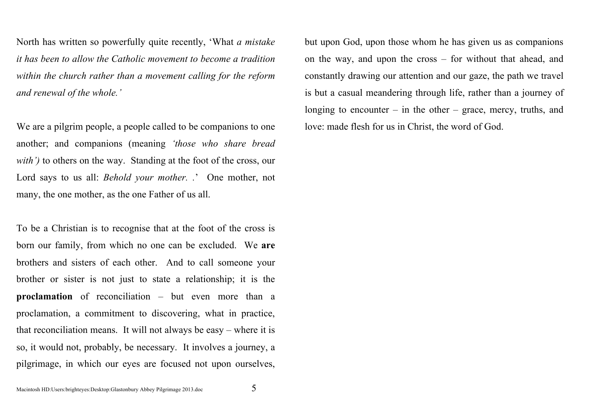North has written so powerfully quite recently, 'What *a mistake it has been to allow the Catholic movement to become a tradition within the church rather than a movement calling for the reform and renewal of the whole.'* 

We are a pilgrim people, a people called to be companions to one another; and companions (meaning *'those who share bread with'*) to others on the way. Standing at the foot of the cross, our Lord says to us all: *Behold your mother. .*' One mother, not many, the one mother, as the one Father of us all.

To be a Christian is to recognise that at the foot of the cross is born our family, from which no one can be excluded. We **are**  brothers and sisters of each other. And to call someone your brother or sister is not just to state a relationship; it is the **proclamation** of reconciliation – but even more than a proclamation, a commitment to discovering, what in practice, that reconciliation means. It will not always be easy – where it is so, it would not, probably, be necessary. It involves a journey, a pilgrimage, in which our eyes are focused not upon ourselves, but upon God, upon those whom he has given us as companions on the way, and upon the cross – for without that ahead, and constantly drawing our attention and our gaze, the path we travel is but a casual meandering through life, rather than a journey of longing to encounter – in the other – grace, mercy, truths, and love: made flesh for us in Christ, the word of God.